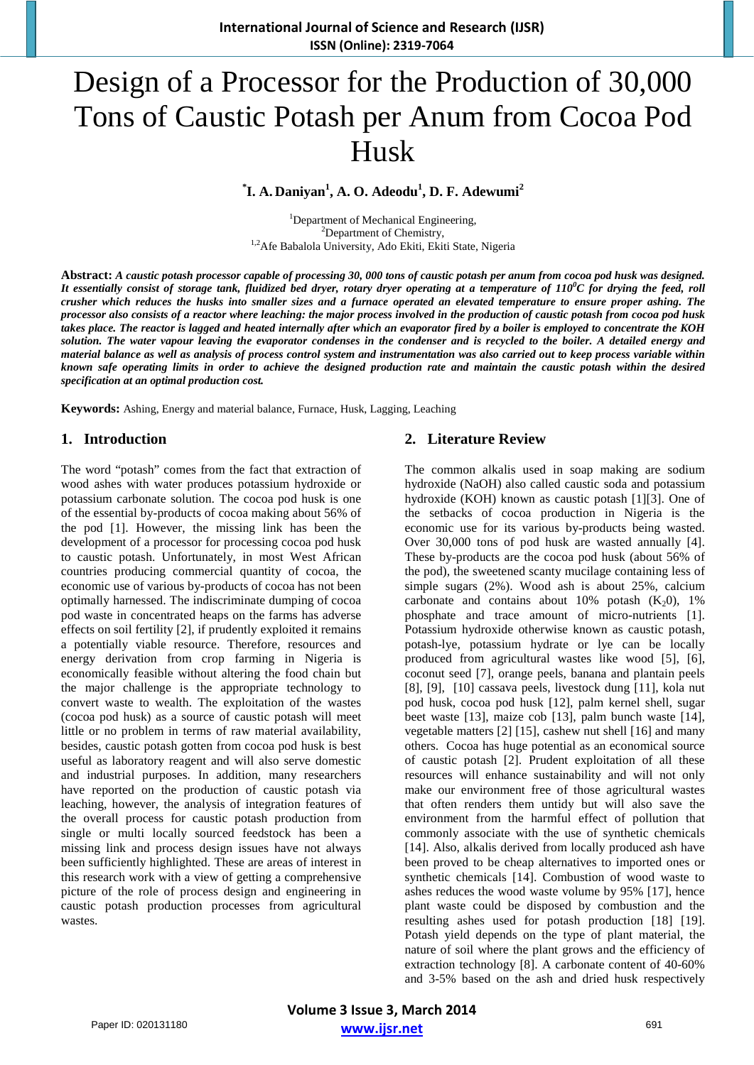# Design of a Processor for the Production of 30,000 Tons of Caustic Potash per Anum from Cocoa Pod Husk

# **\* I. A. Daniyan<sup>1</sup> , A. O. Adeodu<sup>1</sup> , D. F. Adewumi<sup>2</sup>**

<sup>1</sup>Department of Mechanical Engineering,  $\frac{2\text{Department of Chemistry}}{}$  ${}^{2}$ Department of Chemistry, <sup>1,2</sup>Afe Babalola University, Ado Ekiti, Ekiti State, Nigeria

**Abstract:** *A caustic potash processor capable of processing 30, 000 tons of caustic potash per anum from cocoa pod husk was designed. It essentially consist of storage tank, fluidized bed dryer, rotary dryer operating at a temperature of 110<sup>0</sup> C for drying the feed, roll crusher which reduces the husks into smaller sizes and a furnace operated an elevated temperature to ensure proper ashing. The processor also consists of a reactor where leaching: the major process involved in the production of caustic potash from cocoa pod husk takes place. The reactor is lagged and heated internally after which an evaporator fired by a boiler is employed to concentrate the KOH solution. The water vapour leaving the evaporator condenses in the condenser and is recycled to the boiler. A detailed energy and material balance as well as analysis of process control system and instrumentation was also carried out to keep process variable within known safe operating limits in order to achieve the designed production rate and maintain the caustic potash within the desired specification at an optimal production cost.* 

**Keywords:** Ashing, Energy and material balance, Furnace, Husk, Lagging, Leaching

#### **1. Introduction**

The word "potash" comes from the fact that extraction of wood ashes with water produces potassium hydroxide or potassium carbonate solution. The cocoa pod husk is one of the essential by-products of cocoa making about 56% of the pod [1]. However, the missing link has been the development of a processor for processing cocoa pod husk to caustic potash. Unfortunately, in most West African countries producing commercial quantity of cocoa, the economic use of various by-products of cocoa has not been optimally harnessed. The indiscriminate dumping of cocoa pod waste in concentrated heaps on the farms has adverse effects on soil fertility [2], if prudently exploited it remains a potentially viable resource. Therefore, resources and energy derivation from crop farming in Nigeria is economically feasible without altering the food chain but the major challenge is the appropriate technology to convert waste to wealth. The exploitation of the wastes (cocoa pod husk) as a source of caustic potash will meet little or no problem in terms of raw material availability, besides, caustic potash gotten from cocoa pod husk is best useful as laboratory reagent and will also serve domestic and industrial purposes. In addition, many researchers have reported on the production of caustic potash via leaching, however, the analysis of integration features of the overall process for caustic potash production from single or multi locally sourced feedstock has been a missing link and process design issues have not always been sufficiently highlighted. These are areas of interest in this research work with a view of getting a comprehensive picture of the role of process design and engineering in caustic potash production processes from agricultural wastes.

## **2. Literature Review**

The common alkalis used in soap making are sodium hydroxide (NaOH) also called caustic soda and potassium hydroxide (KOH) known as caustic potash [1][3]. One of the setbacks of cocoa production in Nigeria is the economic use for its various by-products being wasted. Over 30,000 tons of pod husk are wasted annually [4]. These by-products are the cocoa pod husk (about 56% of the pod), the sweetened scanty mucilage containing less of simple sugars (2%). Wood ash is about 25%, calcium carbonate and contains about 10% potash  $(K_2 0)$ , 1% phosphate and trace amount of micro-nutrients [1]. Potassium hydroxide otherwise known as caustic potash, potash-lye, potassium hydrate or lye can be locally produced from agricultural wastes like wood [5], [6], coconut seed [7], orange peels, banana and plantain peels [8], [9], [10] cassava peels, livestock dung [11], kola nut pod husk, cocoa pod husk [12], palm kernel shell, sugar beet waste [13], maize cob [13], palm bunch waste [14], vegetable matters [2] [15], cashew nut shell [16] and many others. Cocoa has huge potential as an economical source of caustic potash [2]. Prudent exploitation of all these resources will enhance sustainability and will not only make our environment free of those agricultural wastes that often renders them untidy but will also save the environment from the harmful effect of pollution that commonly associate with the use of synthetic chemicals [14]. Also, alkalis derived from locally produced ash have been proved to be cheap alternatives to imported ones or synthetic chemicals [14]. Combustion of wood waste to ashes reduces the wood waste volume by 95% [17], hence plant waste could be disposed by combustion and the resulting ashes used for potash production [18] [19]. Potash yield depends on the type of plant material, the nature of soil where the plant grows and the efficiency of extraction technology [8]. A carbonate content of 40-60% and 3-5% based on the ash and dried husk respectively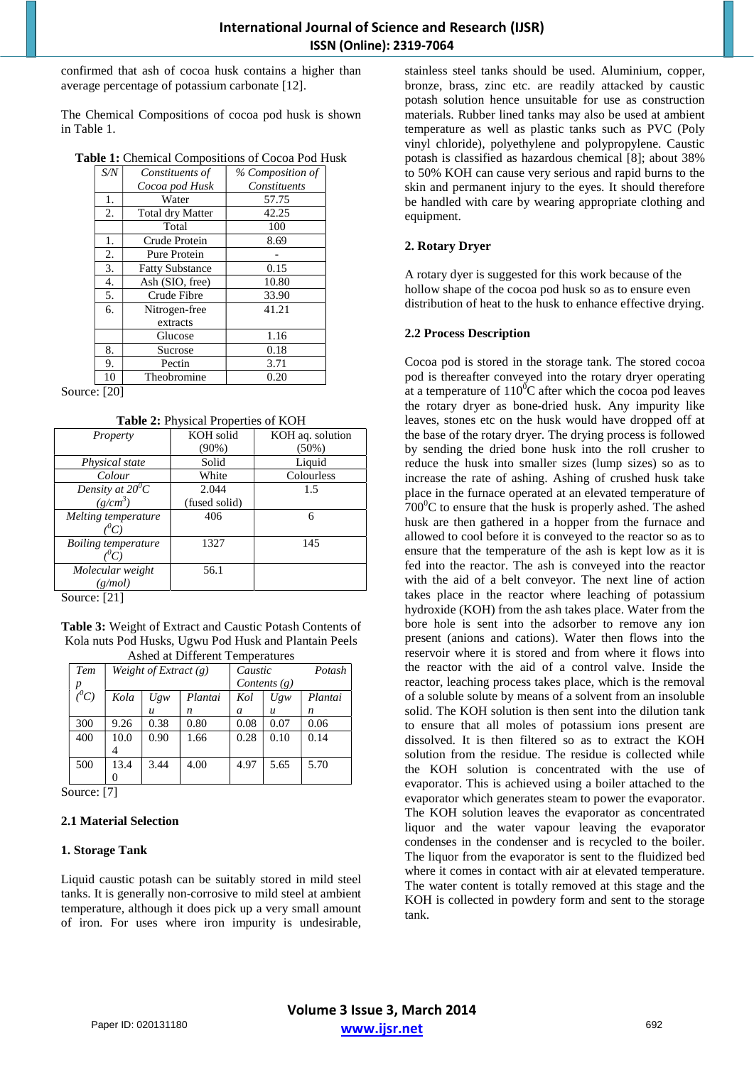confirmed that ash of cocoa husk contains a higher than average percentage of potassium carbonate [12].

The Chemical Compositions of cocoa pod husk is shown in Table 1.

**Table 1:** Chemical Compositions of Cocoa Pod Husk

| S/N | Constituents of         | % Composition of |
|-----|-------------------------|------------------|
|     | Cocoa pod Husk          | Constituents     |
| 1.  | Water                   | 57.75            |
| 2.  | <b>Total dry Matter</b> | 42.25            |
|     | Total                   | 100              |
| 1.  | Crude Protein           | 8.69             |
| 2.  | Pure Protein            |                  |
| 3.  | <b>Fatty Substance</b>  | 0.15             |
| 4.  | Ash (SIO, free)         | 10.80            |
| 5.  | Crude Fibre             | 33.90            |
| 6.  | Nitrogen-free           | 41.21            |
|     | extracts                |                  |
|     | Glucose                 | 1.16             |
| 8.  | Sucrose                 | 0.18             |
| 9.  | Pectin                  | 3.71             |
| 10  | Theobromine             | 0.20             |

Source: [20]

**Table 2:** Physical Properties of KOH

|                     | $\checkmark$  |                  |
|---------------------|---------------|------------------|
| Property            | KOH solid     | KOH aq. solution |
|                     | $(90\%)$      | $(50\%)$         |
| Physical state      | Solid         | Liquid           |
| Colour              | White         | Colourless       |
| Density at $20^0C$  | 2.044         | 1.5              |
| $(g/cm^3)$          | (fused solid) |                  |
| Melting temperature | 406           | 6                |
|                     |               |                  |
| Boiling temperature | 1327          | 145              |
|                     |               |                  |
| Molecular weight    | 56.1          |                  |
| (g/mol)             |               |                  |

Source: [21]

**Table 3:** Weight of Extract and Caustic Potash Contents of Kola nuts Pod Husks, Ugwu Pod Husk and Plantain Peels Ashed at Different Temperatures

| Asheu at Dhiteicht Tempelatures |                         |                  |         |                |                  |         |
|---------------------------------|-------------------------|------------------|---------|----------------|------------------|---------|
| Tem                             | Weight of Extract $(g)$ |                  |         | Caustic        |                  | Potash  |
| $\boldsymbol{p}$                |                         |                  |         | Contents $(g)$ |                  |         |
| $\overline{C}^0C$               | Kola                    | UgW              | Plantai | Kol            | UgW              | Plantai |
|                                 |                         | $\boldsymbol{u}$ | n       | a              | $\boldsymbol{u}$ | n       |
| 300                             | 9.26                    | 0.38             | 0.80    | 0.08           | 0.07             | 0.06    |
| 400                             | 10.0                    | 0.90             | 1.66    | 0.28           | 0.10             | 0.14    |
|                                 | 4                       |                  |         |                |                  |         |
| 500                             | 13.4                    | 3.44             | 4.00    | 4.97           | 5.65             | 5.70    |
|                                 | 0                       |                  |         |                |                  |         |

Source: [7]

#### **2.1 Material Selection**

#### **1. Storage Tank**

Liquid caustic potash can be suitably stored in mild steel tanks. It is generally non-corrosive to mild steel at ambient temperature, although it does pick up a very small amount of iron. For uses where iron impurity is undesirable,

stainless steel tanks should be used. Aluminium, copper, bronze, brass, zinc etc. are readily attacked by caustic potash solution hence unsuitable for use as construction materials. Rubber lined tanks may also be used at ambient temperature as well as plastic tanks such as PVC (Poly vinyl chloride), polyethylene and polypropylene. Caustic potash is classified as hazardous chemical [8]; about 38% to 50% KOH can cause very serious and rapid burns to the skin and permanent injury to the eyes. It should therefore be handled with care by wearing appropriate clothing and equipment.

#### **2. Rotary Dryer**

A rotary dyer is suggested for this work because of the hollow shape of the cocoa pod husk so as to ensure even distribution of heat to the husk to enhance effective drying.

#### **2.2 Process Description**

Cocoa pod is stored in the storage tank. The stored cocoa pod is thereafter conveyed into the rotary dryer operating at a temperature of  $110^{0}$ C after which the cocoa pod leaves the rotary dryer as bone-dried husk. Any impurity like leaves, stones etc on the husk would have dropped off at the base of the rotary dryer. The drying process is followed by sending the dried bone husk into the roll crusher to reduce the husk into smaller sizes (lump sizes) so as to increase the rate of ashing. Ashing of crushed husk take place in the furnace operated at an elevated temperature of  $700^{\circ}$ C to ensure that the husk is properly ashed. The ashed husk are then gathered in a hopper from the furnace and allowed to cool before it is conveyed to the reactor so as to ensure that the temperature of the ash is kept low as it is fed into the reactor. The ash is conveyed into the reactor with the aid of a belt conveyor. The next line of action takes place in the reactor where leaching of potassium hydroxide (KOH) from the ash takes place. Water from the bore hole is sent into the adsorber to remove any ion present (anions and cations). Water then flows into the reservoir where it is stored and from where it flows into the reactor with the aid of a control valve. Inside the reactor, leaching process takes place, which is the removal of a soluble solute by means of a solvent from an insoluble solid. The KOH solution is then sent into the dilution tank to ensure that all moles of potassium ions present are dissolved. It is then filtered so as to extract the KOH solution from the residue. The residue is collected while the KOH solution is concentrated with the use of evaporator. This is achieved using a boiler attached to the evaporator which generates steam to power the evaporator. The KOH solution leaves the evaporator as concentrated liquor and the water vapour leaving the evaporator condenses in the condenser and is recycled to the boiler. The liquor from the evaporator is sent to the fluidized bed where it comes in contact with air at elevated temperature. The water content is totally removed at this stage and the KOH is collected in powdery form and sent to the storage tank.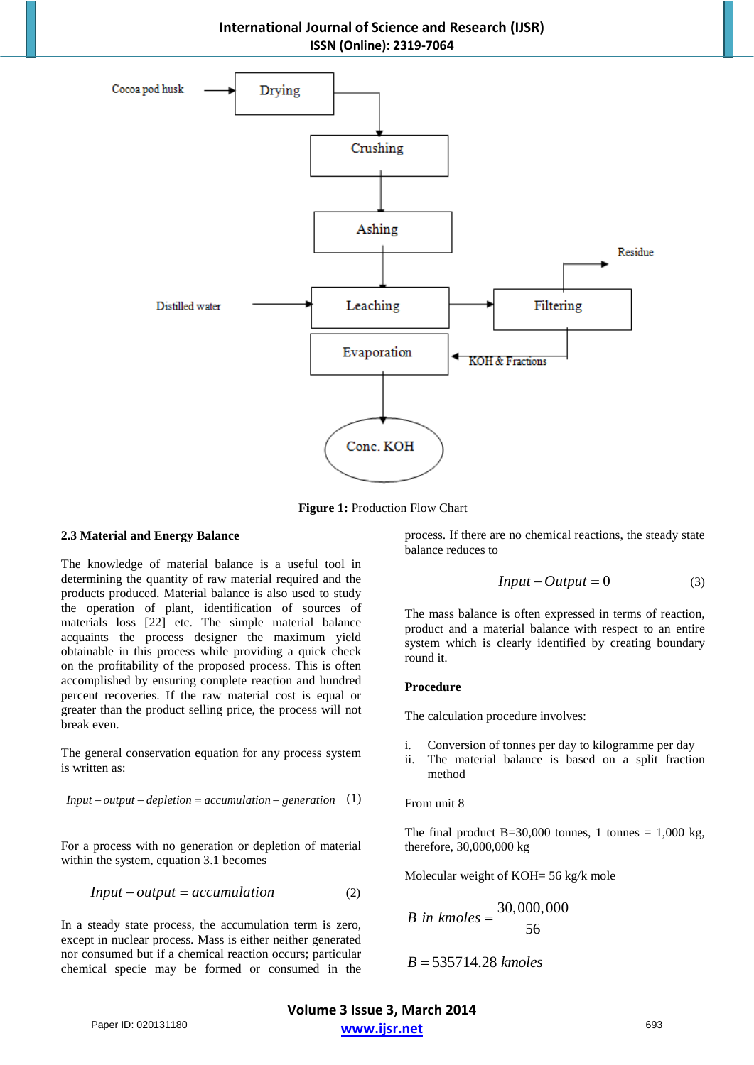**International Journal of Science and Research (IJSR) ISSN (Online): 2319-7064** 



**Figure 1: Production Flow Chart** 

#### **2.3 Material and Energy Balance**

The knowledge of material balance is a useful tool in determining the quantity of raw material required and the products produced. Material balance is also used to study the operation of plant, identification of sources of materials loss [22] etc. The simple material balance acquaints the process designer the maximum yield obtainable in this process while providing a quick check on the profitability of the proposed process. This is often accomplished by ensuring complete reaction and hundred percent recoveries. If the raw material cost is equal or greater than the product selling price, the process will not break even.

The general conservation equation for any process system is written as:

$$
Input - output - depletion = accumulation - generation
$$
 (1)

For a process with no generation or depletion of material within the system, equation 3.1 becomes

$$
Input - output = accumulation \tag{2}
$$

In a steady state process, the accumulation term is zero, except in nuclear process. Mass is either neither generated nor consumed but if a chemical reaction occurs; particular chemical specie may be formed or consumed in the

process. If there are no chemical reactions, the steady state balance reduces to

$$
Input - Output = 0 \tag{3}
$$

The mass balance is often expressed in terms of reaction, product and a material balance with respect to an entire system which is clearly identified by creating boundary round it.

#### **Procedure**

The calculation procedure involves:

- i. Conversion of tonnes per day to kilogramme per day
- ii. The material balance is based on a split fraction method

#### From unit 8

The final product  $B=30,000$  tonnes, 1 tonnes = 1,000 kg, therefore, 30,000,000 kg

Molecular weight of KOH= 56 kg/k mole

*B in kmoles* = 
$$
\frac{30,000,000}{56}
$$

$$
B=535714.28\;kmoles
$$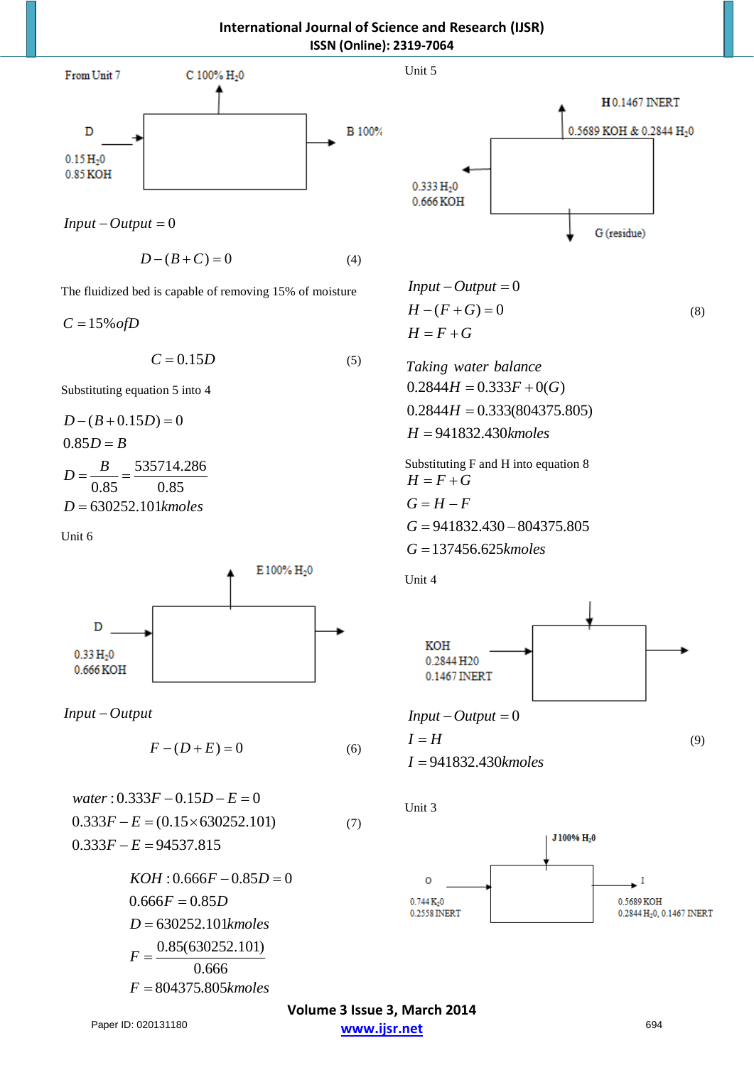**International Journal of Science and Research (IJSR) ISSN (Online): 2319-7064** 

Unit 5



 $Input - Output = 0$ 

$$
D - (B + C) = 0 \tag{4}
$$

The fluidized bed is capable of removing 15% of moisture

 $C = 15\%$  of D

$$
C = 0.15D \tag{5}
$$

Substituting equation 5 into 4

$$
D - (B + 0.15D) = 0
$$
  
0.85D = B  

$$
D = \frac{B}{0.85} = \frac{535714.286}{0.85}
$$
  
D = 630252.101*kmoles*

Unit 6



*Input* − Output

$$
F - (D + E) = 0 \tag{6}
$$

water: 
$$
0.333F - 0.15D - E = 0
$$
  
\n $0.333F - E = (0.15 \times 630252.101)$   
\n $0.333F - E = 94537.815$  (7)

$$
KOH: 0.666F - 0.85D = 0
$$
  
0.666F = 0.85D  
D = 630252.101kmoles  

$$
F = \frac{0.85(630252.101)}{0.666}
$$

$$
F = 804375.805kmoles
$$

**H0.1467 INERT** 0.5689 KOH & 0.2844 H<sub>2</sub>0  $0.333 H_20$ 0.666 KOH G (residue)

$$
Input - Output = 0
$$
  
\n
$$
H - (F + G) = 0
$$
  
\n
$$
H = F + G
$$
\n(8)

*Taking water balance*  $0.2844H = 0.333F + 0(G)$  $0.2844H = 0.333(804375.805)$ 941832.430 *H kmoles* =

Substituting F and H into equation 8  $G = 941832.430 - 804375.805$ G = 137456.625*kmoles*  $H = F + G$  $G = H - F$ 

Unit 4



 $Input - Output = 0$ 

$$
I = H
$$
  
\n
$$
I = 941832.430 \text{kmoles}
$$
 (9)

Unit 3

 $\overline{I}$ 



**Volume 3 Issue 3, March 2014 www.ijsr.net** Paper ID: 020131180 694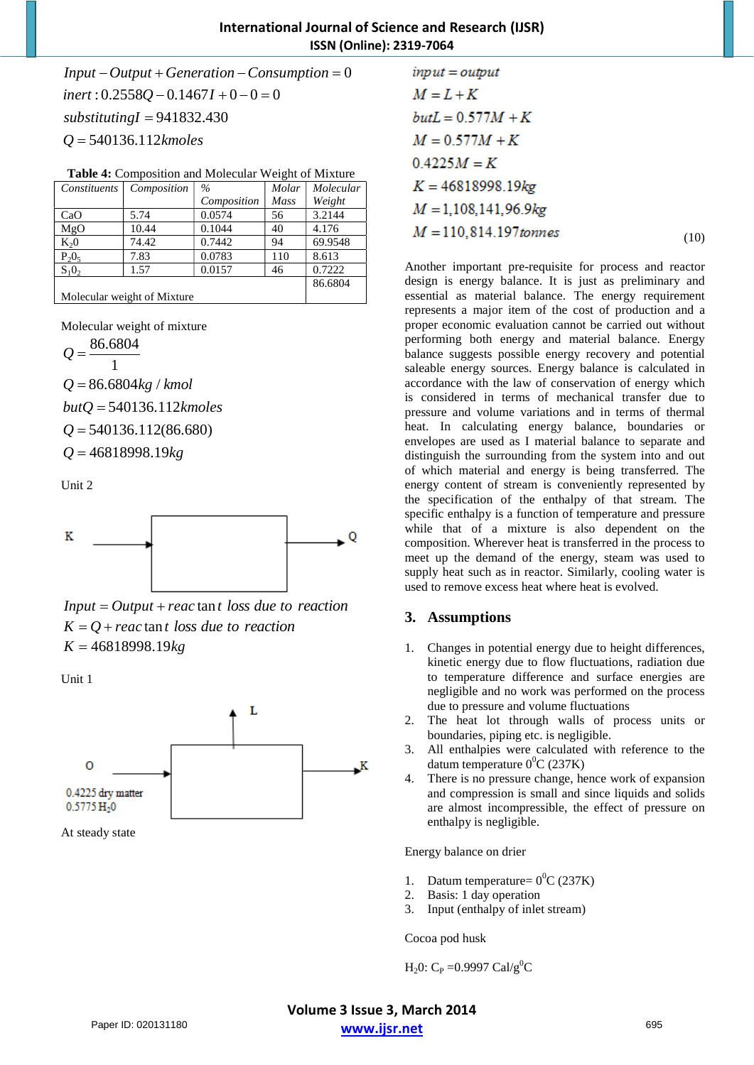# **International Journal of Science and Research (IJSR) ISSN (Online): 2319-7064**

 $Input - Output + Generation - Consumption = 0$  $\text{inert}: 0.2558Q - 0.1467I + 0 - 0 = 0$ 941832.430 *substitutingI* = 540136.112 *Q kmoles* =

| Constituents       | Composition                 | $\frac{0}{0}$ | Molar       | Molecular |
|--------------------|-----------------------------|---------------|-------------|-----------|
|                    |                             | Composition   | <b>Mass</b> | Weight    |
| CaO                | 5.74                        | 0.0574        | 56          | 3.2144    |
| MgO                | 10.44                       | 0.1044        | 40          | 4.176     |
| $K_2$ <sup>0</sup> | 74.42                       | 0.7442        | 94          | 69.9548   |
| $P_2O_5$           | 7.83                        | 0.0783        | 110         | 8.613     |
| $S_1O_2$           | 1.57                        | 0.0157        | 46          | 0.7222    |
|                    |                             |               |             | 86.6804   |
|                    | Molecular weight of Mixture |               |             |           |

Molecular weight of mixture

86.6804 1 *Q* =

 $Q = 86.6804 kg / kmol$ 

540136.112 *butQ kmoles* =

 $Q = 540136.112(86.680)$ 

 $Q = 46818998.19kg$ 

Unit 2



 $Input = Output + reactan t loss due to reaction$  $K = Q +$  *reac* tan *t* loss *due to reaction K* = 46818998.19*kg*

Unit 1



At steady state

| $input = output$         |      |
|--------------------------|------|
| $M = L + K$              |      |
| $butL = 0.577M + K$      |      |
| $M = 0.577M + K$         |      |
| $0.4225M = K$            |      |
| $K = 46818998.19$ kg     |      |
| $M = 1,108,141,96.9$ kg  |      |
| $M = 110,814.197$ tonnes | (10) |

Another important pre-requisite for process and reactor design is energy balance. It is just as preliminary and essential as material balance. The energy requirement represents a major item of the cost of production and a proper economic evaluation cannot be carried out without performing both energy and material balance. Energy balance suggests possible energy recovery and potential saleable energy sources. Energy balance is calculated in accordance with the law of conservation of energy which is considered in terms of mechanical transfer due to pressure and volume variations and in terms of thermal heat. In calculating energy balance, boundaries or envelopes are used as I material balance to separate and distinguish the surrounding from the system into and out of which material and energy is being transferred. The energy content of stream is conveniently represented by the specification of the enthalpy of that stream. The specific enthalpy is a function of temperature and pressure while that of a mixture is also dependent on the composition. Wherever heat is transferred in the process to meet up the demand of the energy, steam was used to supply heat such as in reactor. Similarly, cooling water is used to remove excess heat where heat is evolved.

# **3. Assumptions**

- 1. Changes in potential energy due to height differences, kinetic energy due to flow fluctuations, radiation due to temperature difference and surface energies are negligible and no work was performed on the process due to pressure and volume fluctuations
- 2. The heat lot through walls of process units or boundaries, piping etc. is negligible.
- 3. All enthalpies were calculated with reference to the datum temperature  $0^0C(237K)$
- 4. There is no pressure change, hence work of expansion and compression is small and since liquids and solids are almost incompressible, the effect of pressure on enthalpy is negligible.

Energy balance on drier

- 1. Datum temperature=  $0^0C(237K)$
- 2. Basis: 1 day operation
- 3. Input (enthalpy of inlet stream)

Cocoa pod husk

 $H_2$ 0: C<sub>P</sub> = 0.9997 Cal/g<sup>0</sup>C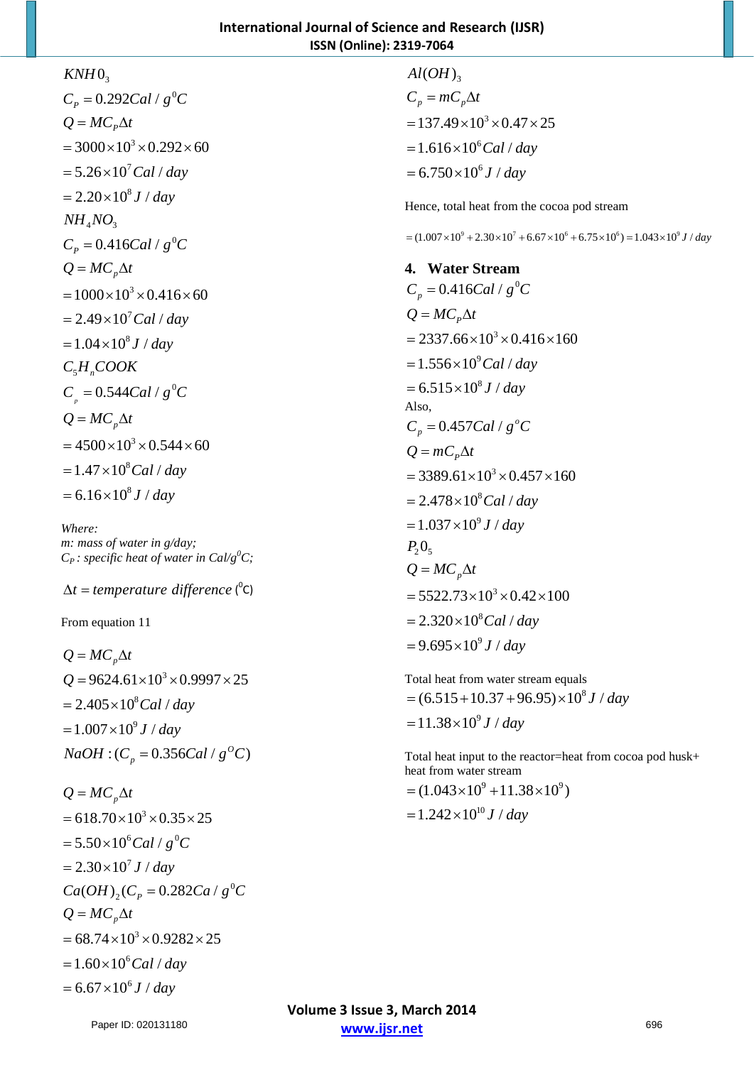# $KNH0_3$

 $C_p = 0.292Cal / g^0C$  $= 3000 \times 10^3 \times 0.292 \times 60$  $= 5.26 \times 10^7$  *Cal* / *day*  $= 2.20 \times 10^8 J / day$  $NH_{4}NO_{3}$  $C_p = 0.416$ Cal /  $g^0C$  $= 1000 \times 10^3 \times 0.416 \times 60$  $= 2.49 \times 10^7$  *Cal* / *day*  $= 1.04 \times 10^8 J / day$  $C_5H_nCOOK$  $C_{p} = 0.544$ Cal /  $g^{0}C$  $= 4500 \times 10^3 \times 0.544 \times 60$  $Q = MC_p\Delta t$  $Q = MC_p\Delta t$  $Q = MC_p\Delta t$  $= 1.47 \times 10^8$ Cal / day  $= 6.16 \times 10^8 J / day$ 

*Where: m: mass of water in g/day;*   $C_P$ : specific heat of water in Cal/ $g^0C$ ;

∆ =*t temperature difference* ( 0 C)

From equation 11

 $Q = MC<sub>n</sub> \Delta t$  $Q = 9624.61 \times 10^3 \times 0.9997 \times 25$  $= 2.405 \times 10^8$  *Cal* / *day*  $= 1.007 \times 10^9 J / day$  $NaOH$  : ( $C_p = 0.356Cal / g^{\circ}C$ )

 $Q = MC<sub>n</sub>\Delta t$  $= 618.70 \times 10^3 \times 0.35 \times 25$  $= 5.50 \times 10^6$  Cal /  $g^0C$  $= 2.30 \times 10^7 J / day$  $Ca(OH)_{2}(C_{p} = 0.282Ca / g^{0}C)$  $Q = MC_{n}\Delta t$  $= 68.74 \times 10^3 \times 0.9282 \times 25$  $= 1.60 \times 10^6$ Cal / day  $= 6.67 \times 10^6 J / day$ 

 $Al(OH)_{3}$  $= 137.49 \times 10^3 \times 0.47 \times 25$  $= 1.616 \times 10^6$ Cal / day  $= 6.750 \times 10^6 J / day$  $C_p = mC_p\Delta t$ 

Hence, total heat from the cocoa pod stream

 $=$   $(1.007 \times 10^{9} + 2.30 \times 10^{7} + 6.67 \times 10^{6} + 6.75 \times 10^{6}) = 1.043 \times 10^{9}$  J / day

**4. Water Stream**   $C_p = 0.416$ Cal /  $g^0C$  $= 2337.66 \times 10^3 \times 0.416 \times 160$  $= 1.556 \times 10^9$  *Cal* / *day*  $= 6.515 \times 10^8 J / day$  $Q = MC_p\Delta t$ Also,  $= 3389.61 \times 10^3 \times 0.457 \times 160$  $= 2.478 \times 10^8$ Cal / day  $= 1.037 \times 10^9 J / day$  $0.457$ *Cal* /  $g^{\circ}$  $C_p = 0.457Cal / g^{\circ}C$  $Q = mC_p\Delta t$  $P_2O_5$  $= 5522.73 \times 10^3 \times 0.42 \times 100$  $= 2.320 \times 10^8$  *Cal* / *day*  $= 9.695 \times 10^9 J / day$  $Q = MC_p\Delta t$ 

Total heat from water stream equals  $= (6.515 + 10.37 + 96.95) \times 10^8 J / day$  $= 11.38 \times 10^9 J / day$ 

Total heat input to the reactor=heat from cocoa pod husk+ heat from water stream

 $=$   $(1.043\times10^{9} + 11.38\times10^{9})$  $= 1.242 \times 10^{10} J / day$ 

**Volume 3 Issue 3, March 2014 www.ijsr.net** Paper ID: 020131180 696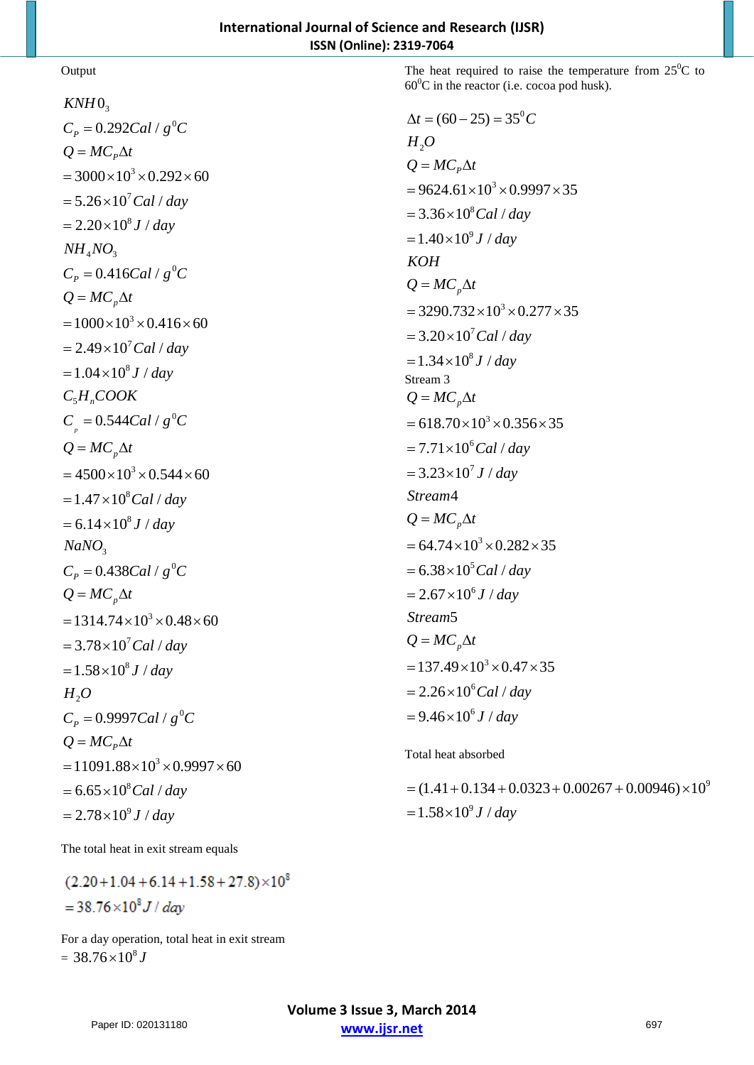## **Output**

 $KNH0_3$  $C_p = 0.292Cal / g^0C$  $= 3000 \times 10^3 \times 0.292 \times 60$  $= 5.26 \times 10^7$  *Cal* / *day*  $= 2.20 \times 10^8 J / day$  $NH_{4}NO_{3}$  $C_p = 0.416$ Cal /  $g^0C$  $= 1000 \times 10^3 \times 0.416 \times 60$  $= 2.49 \times 10^7$  *Cal* / *day*  $= 1.04 \times 10^8 J / day$  $C_5H_nCOOK$  $C_{p} = 0.544$ Cal /  $g^{0}C$  $= 4500 \times 10^3 \times 0.544 \times 60$  $Q = MC_p\Delta t$  $Q = MC_p\Delta t$  $Q = MC_p\Delta t$  $= 1.47 \times 10^8$ Cal / day  $= 6.14 \times 10^8 J / day$ 3 *NaNO*  $C_p = 0.438$ Cal /  $g^0C$  $= 1314.74 \times 10^3 \times 0.48 \times 60$  $= 3.78 \times 10^7$  *Cal* / *day*  $= 1.58 \times 10^8 J / day$  $H_{2}O$  $C_p = 0.9997$ Cal /  $g^0C$  $= 11091.88 \times 10^3 \times 0.9997 \times 60$  $= 6.65 \times 10^8$  *Cal* / *day*  $= 2.78 \times 10^9 J / day$  $Q = MC_p\Delta t$  $Q = MC_p\Delta t$ 

The heat required to raise the temperature from  $25^{\circ}$ C to  $60^{\circ}$ C in the reactor (i.e. cocoa pod husk).

$$
\Delta t = (60 - 25) = 35^{\circ}C
$$
  
\n
$$
H_2O
$$
  
\n
$$
Q = MC_p\Delta t
$$
  
\n
$$
= 9624.61 \times 10^3 \times 0.9997 \times 35
$$
  
\n
$$
= 3.36 \times 10^8 Cal/day
$$
  
\n
$$
= 1.40 \times 10^9 J/day
$$
  
\n
$$
KOH
$$
  
\n
$$
Q = MC_p\Delta t
$$
  
\n
$$
= 3290.732 \times 10^3 \times 0.277 \times 35
$$
  
\n
$$
= 3.20 \times 10^7 Cal/day
$$
  
\n
$$
= 1.34 \times 10^8 J/day
$$
  
\nStream 3  
\n
$$
Q = MC_p\Delta t
$$
  
\n
$$
= 618.70 \times 10^3 \times 0.356 \times 35
$$
  
\n
$$
= 7.71 \times 10^6 Cal/day
$$
  
\n
$$
= 3.23 \times 10^7 J/day
$$
  
\nStream4  
\n
$$
Q = MC_p\Delta t
$$
  
\n
$$
= 64.74 \times 10^3 \times 0.282 \times 35
$$
  
\n
$$
= 6.38 \times 10^5 Cal/day
$$
  
\n
$$
= 2.67 \times 10^6 J/day
$$
  
\nStream5  
\n
$$
Q = MC_p\Delta t
$$
  
\n
$$
= 137.49 \times 10^3 \times 0.47 \times 35
$$
  
\n
$$
= 2.26 \times 10^6 Cal/day
$$
  
\n
$$
= 9.46 \times 10^6 J/day
$$

Total heat absorbed

 $=$  (1.41 + 0.134 + 0.0323 + 0.00267 + 0.00946)  $\times 10^9$  $= 1.58 \times 10^9 J / day$ 

The total heat in exit stream equals

 $(2.20+1.04+6.14+1.58+27.8)\times10^8$  $=38.76\times10^{8} J/day$ 

For a day operation, total heat in exit stream  $= 38.76 \times 10^8 J$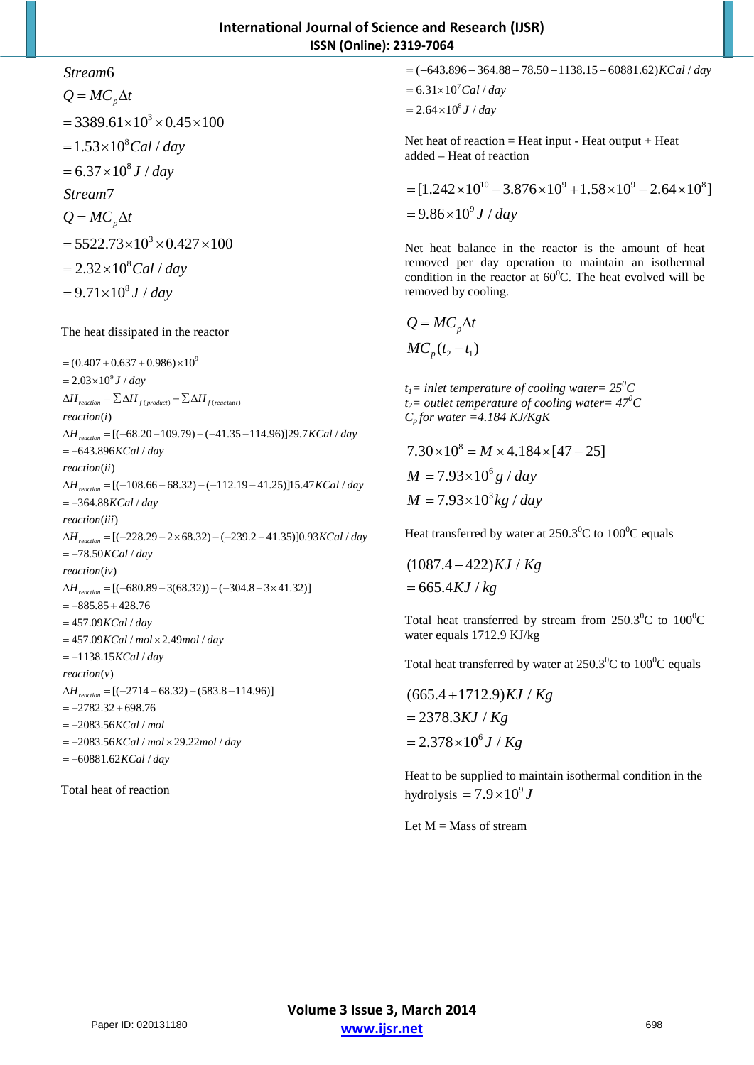# 6 *Stream*

 $= 3389.61 \times 10^3 \times 0.45 \times 100$  $= 1.53 \times 10^8$ *Cal* / *day*  $= 6.37 \times 10^8 J / day$  $= 5522.73 \times 10^3 \times 0.427 \times 100$  $= 2.32 \times 10^8$  *Cal* / *day*  $= 9.71 \times 10^8 J / day$ 7 *Stream*  $Q = MC_p\Delta t$  $Q = MC_p\Delta t$ 

The heat dissipated in the reactor

 $=(0.407 + 0.637 + 0.986) \times 10^{9}$  $= 2.03 \times 10^9 J / day$  $\Delta H_{reaction} = \sum \Delta H_{f(product)} - \sum \Delta H_{f(reactant)}$ ( ) *reaction i*  $\Delta H_{reaction} = [(-68.20 - 109.79) - (-41.35 - 114.96)]29.7 KCal / day$ = -643.896KCal / day ( ) *reaction ii* ∆H<sub>reaction</sub> = [(-108.66 – 68.32) – (-112.19 – 41.25)]15.47 KCal / day = -364.88KCal / day ( ) *reaction iii*  $\Delta H_{reaction} = [(-228.29 - 2 \times 68.32) - (-239.2 - 41.35)]0.93 KCal / day$ = −78.50*KCal / day*  $reaction (iv)$  $\Delta H$ <sub>reaction</sub> = [(-680.89 - 3(68.32)) – (-304.8 - 3 × 41.32)]  $=-885.85+428.76$ = 457.09 KCal / day = 457.09 KCal / mol × 2.49 mol / day = -1138.15*KCal / day reaction*(*v*)  $\Delta H_{reaction} = [(-2714 - 68.32) - (583.8 - 114.96)]$  $=-2782.32 + 698.76$ = -2083.56*KCal / mol* = -2083.56KCal / mol × 29.22mol / day = -60881.62KCal / day

Total heat of reaction

 $= (-643.896 - 364.88 - 78.50 - 1138.15 - 60881.62)$ *KCal / day* 

 $= 6.31 \times 10^7$  *Cal* / *day* 

 $= 2.64 \times 10^8 J / day$ 

Net heat of reaction  $=$  Heat input - Heat output  $+$  Heat added – Heat of reaction

 $=[1.242\times10^{10}-3.876\times10^{9}+1.58\times10^{9}-2.64\times10^{8}]$  $= 9.86 \times 10^9 J / day$ 

Net heat balance in the reactor is the amount of heat removed per day operation to maintain an isothermal condition in the reactor at  $60^{\circ}$ C. The heat evolved will be removed by cooling.

 $MC_{p}(t_{2}-t_{1})$  $Q = MC_p\Delta t$ 

 $t_1$ = inlet temperature of cooling water=  $25^0C$ *t*<sub>2</sub> = *outlet temperature of cooling water* =  $47^{\circ}$ C  $C_p$  for water =4.184 KJ/KgK

 $7.30 \times 10^8 = M \times 4.184 \times [47 - 25]$  $M = 7.93 \times 10^6 g / day$ *M* = 7.93×10<sup>3</sup> kg / day

Heat transferred by water at  $250.3^{\circ}$ C to  $100^{\circ}$ C equals

 $(1087.4 - 422) KJ / Kg$  $= 665.4 KJ / kg$ 

Total heat transferred by stream from  $250.3^{\circ}$ C to  $100^{\circ}$ C water equals 1712.9 KJ/kg

Total heat transferred by water at  $250.3^{\circ}$ C to  $100^{\circ}$ C equals

 $= 2.378 \times 10^6 J / Kg$  $(665.4 + 1712.9) KJ / Kg$  $= 2378.3 KJ / Kg$ 

Heat to be supplied to maintain isothermal condition in the hydrolysis  $= 7.9 \times 10^9 J$ 

Let  $M = Mass$  of stream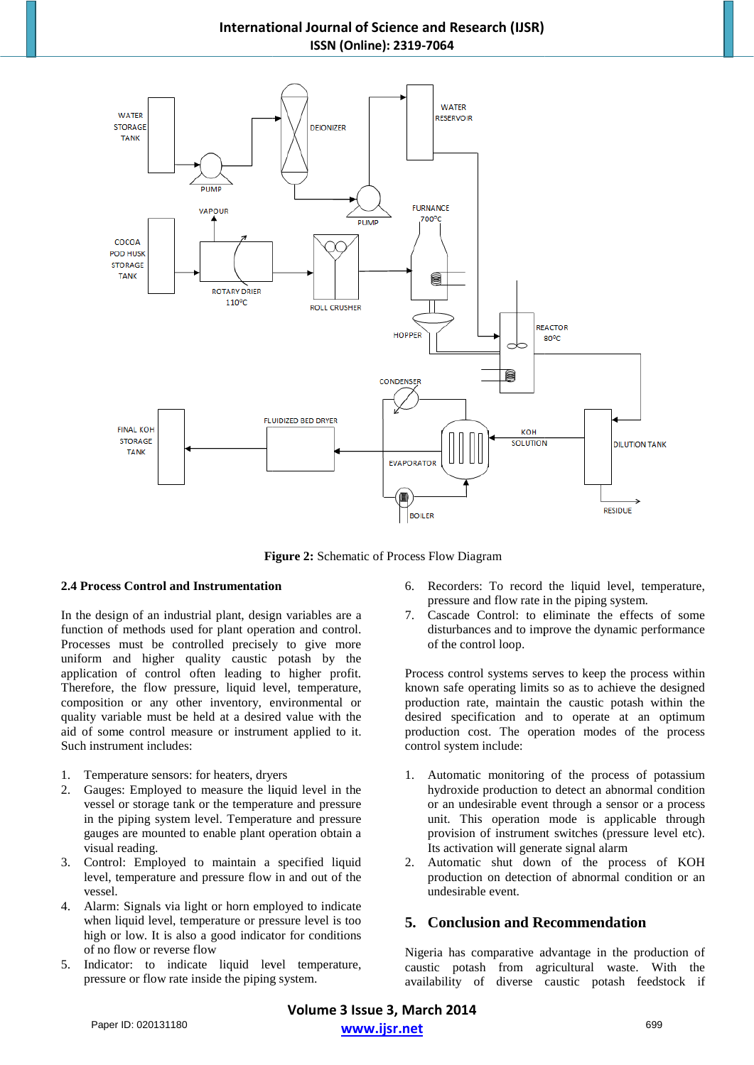# **International Journal International Journal of Science and Research (IJSR) ISSN (Online): 2319-7064**



**Figure Figure 2:** Schematic of Process Flow Diagram

#### **2.4 Process Control and Instrumentation and Instrumentation**

In the design of an industrial plant, design variables are design variables are a function of methods used for plant operation and control. Processes must be controlled precisely to give more uniform and higher quality caustic potash by the application of control often leading to higher profit. Therefore, the flow pressure, liquid level, temperature, composition or any other inventory, environmental or quality variable must be held at a desired value with the Therefore, the flow pressure, liquid level, temperature, composition or any other inventory, environmental or quality variable must be held at a desired value with the aid of some control measure or instrument applied to i Such instrument includes: has used to precisely to give more<br>d higher quality caustic potash by the<br>of control often leading to higher profit. cord control and Instrumentation<br>
sesign of an industrial plant, design variables are a<br>
pressure and flow rate in the piping system.<br>
To record the system of methods used for plant operation and control.<br>
disturbances and

- 1. Temperature sensors: for heaters, dryers
- 2. Gauges: Employed to measure the liquid level in the vessel or storage tank or the temperature and pressure in the piping system level. Temperature and pressure gauges are mounted to enable plant operation obtain a visual reading.
- 3. Control: Employed to maintain a specified liquid level, temperature and pressure flow in and out of the vessel.
- 4. Alarm: Signals via light or horn employed to indicate when liquid level, temperature or pressure level is too high or low. It is also a good indicator for conditions of no flow or reverse flow
- 5. Indicator: to indicate liquid level temperature, pressure or flow rate inside the piping system.
- pressure and flow rate in the piping system.
- 7. Cascade Control: to eliminate the effects of some disturbances and to improve the dynamic performance of the control loop.

Process control systems serves to keep the process within known safe operating limits so as to achieve the designed production rate, maintain the caustic potash within the desired specification and to operate at an optimum production cost. The operation modes of the process control system include: tion rate, maintain the caustic potash within the<br>
I specification and to operate at an optimum<br>
tion cost. The operation modes of the process<br>
system include:<br>
utomatic monitoring of the process of potassium<br>
droxide prod

- 1. Automatic monitoring of the process of potassium hydroxide production to detect an abnormal condition or an undesirable event through a sensor or a process unit. This operation mode is applicable through provision of instrument switches (pressure level etc). Its activation will generate signal alarm
- 2. Automatic shut down of the process of KOH production on detection of abnormal condition or an undesirable event.

# **5. Conclusion and Recommendation**

Nigeria has comparative advantage in the production of caustic potash from agricultural waste. With the availability of diverse caustic potash feedstock if

**Volume 3 Issue 3, March 2014 www.ijsr.net** Paper ID: 020131180 699